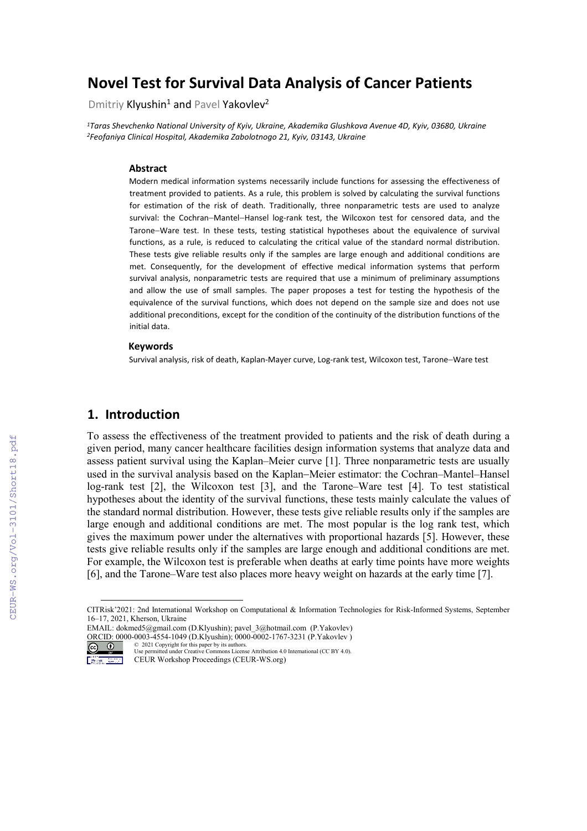# **Novel Test for Survival Data Analysis of Cancer Patients**

Dmitriy Klyushin<sup>1</sup> and Pavel Yakovlev<sup>2</sup>

*1Taras Shevchenko National University of Kyiv, Ukraine, Akademika Glushkova Avenue 4D, Kyiv, 03680, Ukraine 2Feofaniya Clinical Hospital, Akademika Zabolotnogo 21, Kyiv, 03143, Ukraine*

#### **Abstract**

Modern medical information systems necessarily include functions for assessing the effectiveness of treatment provided to patients. As a rule, this problem is solved by calculating the survival functions for estimation of the risk of death. Traditionally, three nonparametric tests are used to analyze survival: the Cochran−Mantel−Hansel log-rank test, the Wilcoxon test for censored data, and the Tarone−Ware test. In these tests, testing statistical hypotheses about the equivalence of survival functions, as a rule, is reduced to calculating the critical value of the standard normal distribution. These tests give reliable results only if the samples are large enough and additional conditions are met. Consequently, for the development of effective medical information systems that perform survival analysis, nonparametric tests are required that use a minimum of preliminary assumptions and allow the use of small samples. The paper proposes a test for testing the hypothesis of the equivalence of the survival functions, which does not depend on the sample size and does not use additional preconditions, except for the condition of the continuity of the distribution functions of the initial data.

#### **Keywords**

Survival analysis, risk of death, Kaplan-Mayer curve, Log-rank test, Wilcoxon test, Tarone−Ware test

### **1. Introduction**

To assess the effectiveness of the treatment provided to patients and the risk of death during a given period, many cancer healthcare facilities design information systems that analyze data and assess patient survival using the Kaplan–Meier curve [1]. Three nonparametric tests are usually used in the survival analysis based on the Kaplan–Meier estimator: the Cochran–Mantel–Hansel log-rank test [2], the Wilcoxon test [3], and the Tarone–Ware test [4]. To test statistical hypotheses about the identity of the survival functions, these tests mainly calculate the values of the standard normal distribution. However, these tests give reliable results only if the samples are large enough and additional conditions are met. The most popular is the log rank test, which gives the maximum power under the alternatives with proportional hazards [5]. However, these tests give reliable results only if the samples are large enough and additional conditions are met. For example, the Wilcoxon test is preferable when deaths at early time points have more weights [6], and the Tarone–Ware test also places more heavy weight on hazards at the early time [7].

 $(c)$ Macong County

<span id="page-0-0"></span>CITRisk'2021: 2nd International Workshop on Computational & Information Technologies for Risk-Informed Systems, September 16–17, 2021, Kherson, Ukraine

EMAIL: dokmed5@gmail.com (D.Klyushin); pavel\_3@hotmail.com (P.Yakovlev) ORCID: 0000-0003-4554-1049 (D.Klyushin); 0000-0002-1767-3231 (P.Yakovlev )<br>  $\odot$  0 2021 Copyright for this paper by its authors.

<sup>©</sup> 2021 Copyright for this paper by its authors. Use permitted under Creative Commons License Attribution 4.0 International (CC BY 4.0). CEUR Workshop Proceedings (CEUR-WS.org)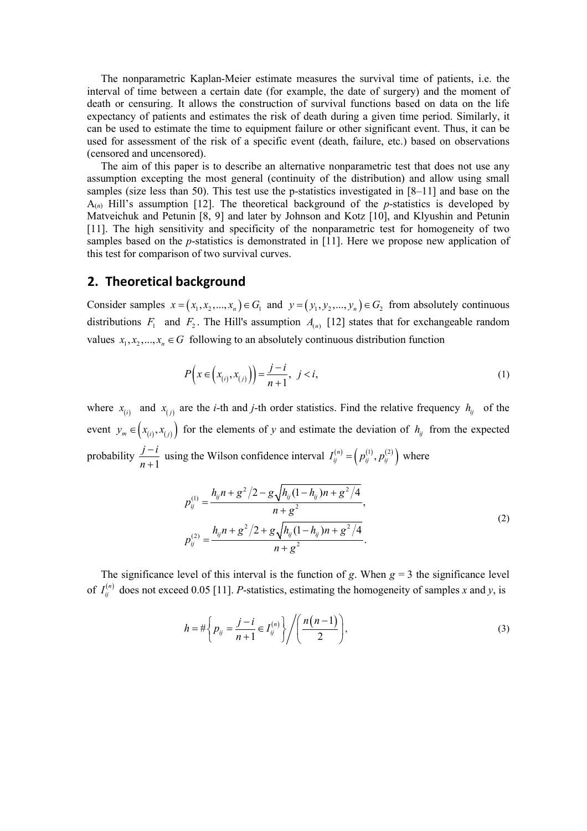The nonparametric Kaplan-Meier estimate measures the survival time of patients, i.e. the interval of time between a certain date (for example, the date of surgery) and the moment of death or censuring. It allows the construction of survival functions based on data on the life expectancy of patients and estimates the risk of death during a given time period. Similarly, it can be used to estimate the time to equipment failure or other significant event. Thus, it can be used for assessment of the risk of a specific event (death, failure, etc.) based on observations (censored and uncensored).

The aim of this paper is to describe an alternative nonparametric test that does not use any assumption excepting the most general (continuity of the distribution) and allow using small samples (size less than 50). This test use the p-statistics investigated in [8–11] and base on the A(*n*) Hill's assumption [12]. The theoretical background of the *p*-statistics is developed by Matveichuk and Petunin [8, 9] and later by Johnson and Kotz [10], and Klyushin and Petunin [11]. The high sensitivity and specificity of the nonparametric test for homogeneity of two samples based on the *p*-statistics is demonstrated in [11]. Here we propose new application of this test for comparison of two survival curves.

### **2. Theoretical background**

Consider samples  $x = (x_1, x_2, ..., x_n) \in G_1$  and  $y = (y_1, y_2, ..., y_n) \in G_2$  from absolutely continuous distributions  $F_1$  and  $F_2$ . The Hill's assumption  $A_{(n)}$  [12] states that for exchangeable random values  $x_1, x_2, ..., x_n \in G$  following to an absolutely continuous distribution function

$$
P\left(x \in \left(x_{(i)}, x_{(j)}\right)\right) = \frac{j - i}{n + 1}, \quad j < i,\tag{1}
$$

where  $x_{(i)}$  and  $x_{(j)}$  are the *i*-th and *j*-th order statistics. Find the relative frequency  $h_{ij}$  of the event  $y_m \in (x_{(i)}, x_{(j)})$  for the elements of *y* and estimate the deviation of  $h_{ij}$  from the expected probability  $\frac{j-i}{n+1}$ *n* −  $\frac{-i}{+1}$  using the Wilson confidence interval  $I_{ij}^{(n)} = (p_{ij}^{(1)}, p_{ij}^{(2)})$  where

$$
p_{ij}^{(1)} = \frac{h_{ij}n + g^2/2 - g\sqrt{h_{ij}(1 - h_{ij})n + g^2/4}}{n + g^2},
$$
  
\n
$$
p_{ij}^{(2)} = \frac{h_{ij}n + g^2/2 + g\sqrt{h_{ij}(1 - h_{ij})n + g^2/4}}{n + g^2}.
$$
\n(2)

The significance level of this interval is the function of *g*. When  $g = 3$  the significance level of  $I_{ij}^{(n)}$  does not exceed 0.05 [11]. *P*-statistics, estimating the homogeneity of samples *x* and *y*, is

$$
h = \# \left\{ p_{ij} = \frac{j-i}{n+1} \in I_{ij}^{(n)} \right\} / \left( \frac{n(n-1)}{2} \right), \tag{3}
$$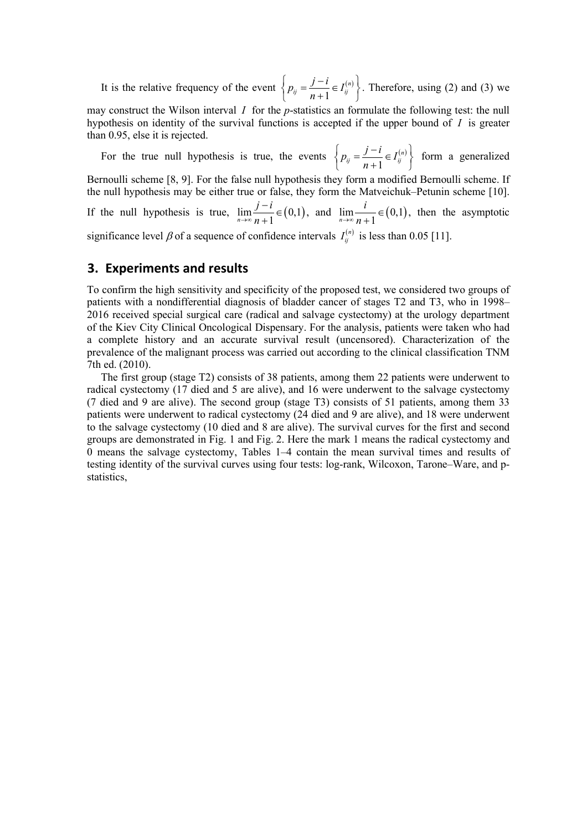It is the relative frequency of the event  $\{ p_{ij} = \frac{J - i}{n} \in I_{ij}^{(n)} \}$ 1 *n*  $p_{ij} = \frac{j - i}{n + 1} \in I_{ij}^{(i)}$  $\left\{ p_{ij} = \frac{j - i}{n + 1} \in I_{ij}^{(n)} \right\}$ . Therefore, using (2) and (3) we

may construct the Wilson interval *I* for the *p*-statistics an formulate the following test: the null hypothesis on identity of the survival functions is accepted if the upper bound of *I* is greater than 0.95, else it is rejected.

For the true null hypothesis is true, the events  $\{ p_{ij} = \frac{f^{(n)}}{n} \in I_{ij}^{(n)} \}$ 1 *n*  $p_{ij} = \frac{j - i}{n + 1} \in I_{ij}^{(i)}$  $\left\{ p_{ij} = \frac{j - i}{n + 1} \in I_{ij}^{(n)} \right\}$  form a generalized Bernoulli scheme [8, 9]. For the false null hypothesis they form a modified Bernoulli scheme. If the null hypothesis may be either true or false, they form the Matveichuk–Petunin scheme [10]. If the null hypothesis is true,  $\lim_{n \to \infty} \frac{j - i}{n + 1} \in (0,1)$ →∞ *n*  $\frac{-i}{+1} \in (0,1)$ , and  $\lim_{n \to \infty} \frac{i}{n+1} \in (0,1)$ →∞ *n* ∈ + , then the asymptotic significance level  $\beta$  of a sequence of confidence intervals  $I_{ij}^{(n)}$  is less than 0.05 [11].

## **3. Experiments and results**

To confirm the high sensitivity and specificity of the proposed test, we considered two groups of patients with a nondifferential diagnosis of bladder cancer of stages T2 and T3, who in 1998– 2016 received special surgical care (radical and salvage cystectomy) at the urology department of the Kiev City Clinical Oncological Dispensary. For the analysis, patients were taken who had a complete history and an accurate survival result (uncensored). Characterization of the prevalence of the malignant process was carried out according to the clinical classification TNM 7th ed. (2010).

The first group (stage T2) consists of 38 patients, among them 22 patients were underwent to radical cystectomy (17 died and 5 are alive), and 16 were underwent to the salvage cystectomy (7 died and 9 are alive). The second group (stage T3) consists of 51 patients, among them 33 patients were underwent to radical cystectomy (24 died and 9 are alive), and 18 were underwent to the salvage cystectomy (10 died and 8 are alive). The survival curves for the first and second groups are demonstrated in Fig. 1 and Fig. 2. Here the mark 1 means the radical cystectomy and 0 means the salvage cystectomy, Tables 1–4 contain the mean survival times and results of testing identity of the survival curves using four tests: log-rank, Wilcoxon, Tarone–Ware, and pstatistics,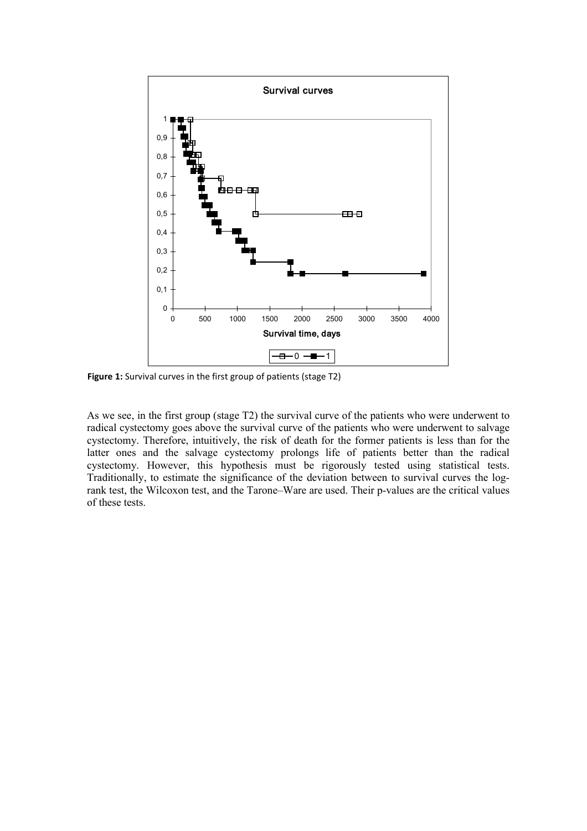

**Figure 1:** Survival curves in the first group of patients (stage T2)

As we see, in the first group (stage T2) the survival curve of the patients who were underwent to radical cystectomy goes above the survival curve of the patients who were underwent to salvage cystectomy. Therefore, intuitively, the risk of death for the former patients is less than for the latter ones and the salvage cystectomy prolongs life of patients better than the radical cystectomy. However, this hypothesis must be rigorously tested using statistical tests. Traditionally, to estimate the significance of the deviation between to survival curves the logrank test, the Wilcoxon test, and the Tarone–Ware are used. Their p-values are the critical values of these tests.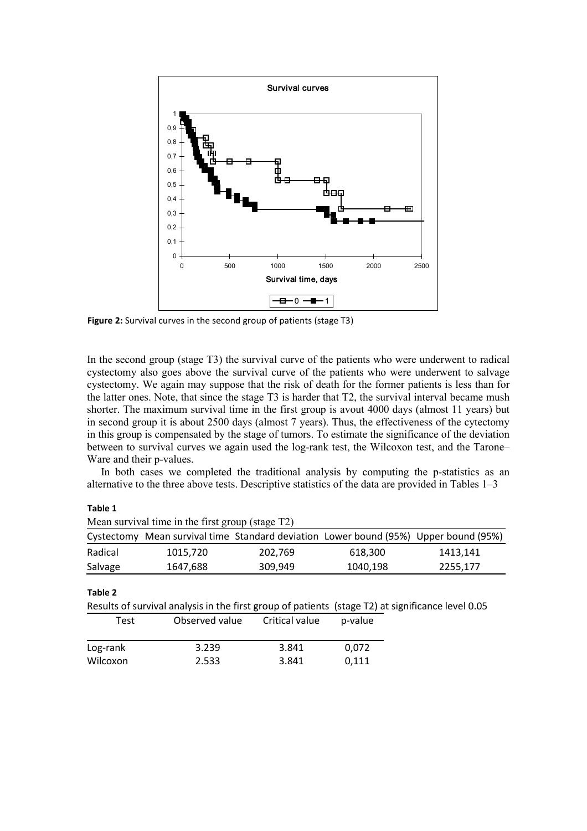

**Figure 2:** Survival curves in the second group of patients (stage T3)

In the second group (stage T3) the survival curve of the patients who were underwent to radical cystectomy also goes above the survival curve of the patients who were underwent to salvage cystectomy. We again may suppose that the risk of death for the former patients is less than for the latter ones. Note, that since the stage T3 is harder that T2, the survival interval became mush shorter. The maximum survival time in the first group is avout 4000 days (almost 11 years) but in second group it is about 2500 days (almost 7 years). Thus, the effectiveness of the cytectomy in this group is compensated by the stage of tumors. To estimate the significance of the deviation between to survival curves we again used the log-rank test, the Wilcoxon test, and the Tarone– Ware and their p-values.

In both cases we completed the traditional analysis by computing the p-statistics as an alternative to the three above tests. Descriptive statistics of the data are provided in Tables 1–3

**Table 1**

|            | Mean survival time in the first group (stage T2) |                |                                                                                                   |          |
|------------|--------------------------------------------------|----------------|---------------------------------------------------------------------------------------------------|----------|
| Cystectomy |                                                  |                | Mean survival time Standard deviation Lower bound (95%) Upper bound (95%)                         |          |
| Radical    | 1015,720                                         | 202,769        | 618,300                                                                                           | 1413,141 |
| Salvage    | 1647,688                                         | 309,949        | 1040,198                                                                                          | 2255,177 |
| Table 2    |                                                  |                | Results of survival analysis in the first group of patients (stage T2) at significance level 0.05 |          |
| Test       | Observed value                                   | Critical value | p-value                                                                                           |          |
| Log-rank   | 3.239                                            | 3.841          | 0,072                                                                                             |          |
| Wilcoxon   | 2.533                                            | 3.841          | 0.111                                                                                             |          |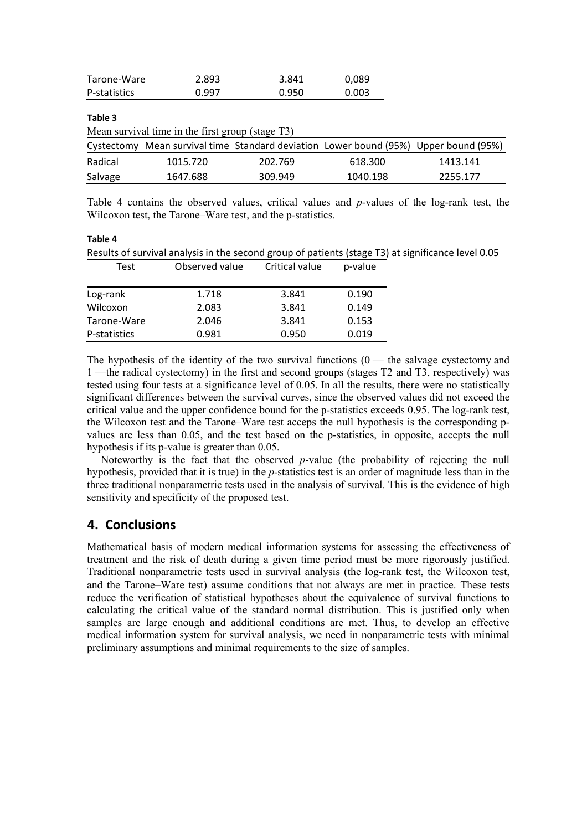| Tarone-Ware  | 2.893                                            | 3.841   | 0,089                                                                                |          |
|--------------|--------------------------------------------------|---------|--------------------------------------------------------------------------------------|----------|
| P-statistics | 0.997                                            | 0.950   | 0.003                                                                                |          |
| Table 3      |                                                  |         |                                                                                      |          |
|              | Mean survival time in the first group (stage T3) |         |                                                                                      |          |
|              |                                                  |         | Cystectomy Mean survival time Standard deviation Lower bound (95%) Upper bound (95%) |          |
| Radical      | 1015.720                                         | 202.769 | 618.300                                                                              | 1413.141 |
| Salvage      | 1647.688                                         | 309.949 | 1040.198                                                                             | 2255.177 |

Table 4 contains the observed values, critical values and *p*-values of the log-rank test, the Wilcoxon test, the Tarone–Ware test, and the p-statistics.

| Table 4                                                                                            |                |                |         |  |  |  |  |  |
|----------------------------------------------------------------------------------------------------|----------------|----------------|---------|--|--|--|--|--|
| Results of survival analysis in the second group of patients (stage T3) at significance level 0.05 |                |                |         |  |  |  |  |  |
| <b>Test</b>                                                                                        | Observed value | Critical value | p-value |  |  |  |  |  |
| Log-rank                                                                                           | 1.718          | 3.841          | 0.190   |  |  |  |  |  |
| Wilcoxon                                                                                           | 2.083          | 3.841          | 0.149   |  |  |  |  |  |
| Tarone-Ware                                                                                        | 2.046          | 3.841          | 0.153   |  |  |  |  |  |

P-statistics 0.981 0.950 0.019

The hypothesis of the identity of the two survival functions  $(0 -$  the salvage cystectomy and 1 —the radical cystectomy) in the first and second groups (stages T2 and T3, respectively) was tested using four tests at a significance level of 0.05. In all the results, there were no statistically significant differences between the survival curves, since the observed values did not exceed the critical value and the upper confidence bound for the p-statistics exceeds 0.95. The log-rank test, the Wilcoxon test and the Tarone–Ware test acceps the null hypothesis is the corresponding pvalues are less than 0.05, and the test based on the p-statistics, in opposite, accepts the null hypothesis if its p-value is greater than 0.05.

Noteworthy is the fact that the observed *p*-value (the probability of rejecting the null hypothesis, provided that it is true) in the *p*-statistics test is an order of magnitude less than in the three traditional nonparametric tests used in the analysis of survival. This is the evidence of high sensitivity and specificity of the proposed test.

# **4. Conclusions**

Mathematical basis of modern medical information systems for assessing the effectiveness of treatment and the risk of death during a given time period must be more rigorously justified. Traditional nonparametric tests used in survival analysis (the log-rank test, the Wilcoxon test, and the Tarone−Ware test) assume conditions that not always are met in practice. These tests reduce the verification of statistical hypotheses about the equivalence of survival functions to calculating the critical value of the standard normal distribution. This is justified only when samples are large enough and additional conditions are met. Thus, to develop an effective medical information system for survival analysis, we need in nonparametric tests with minimal preliminary assumptions and minimal requirements to the size of samples.